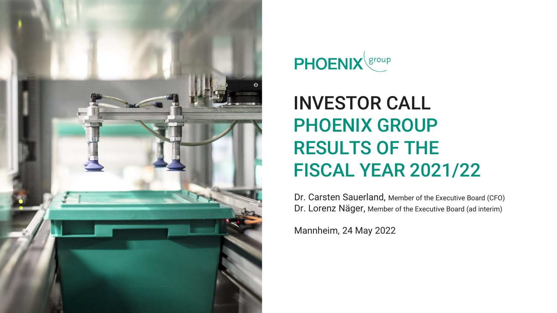



# INVESTOR CALL PHOENIX GROUP RESULTS OF THE FISCAL YEAR 2021/22

Dr. Carsten Sauerland, Member of the Executive Board (CFO) Dr. Lorenz Näger, Member of the Executive Board (ad interim)

Mannheim, 24 May 2022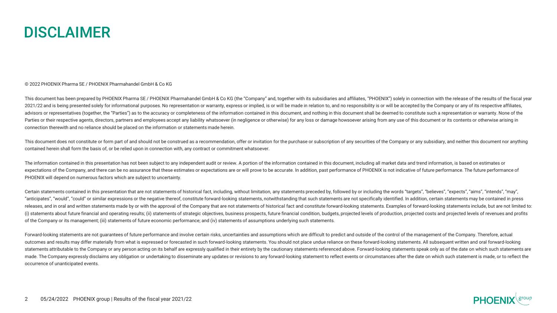

#### © 2022 PHOENIX Pharma SE / PHOENIX Pharmahandel GmbH & Co KG

This document has been prepared by PHOENIX Pharma SE / PHOENIX Pharmahandel GmbH & Co KG (the "Company" and, together with its subsidiaries and affiliates, "PHOENIX") solely in connection with the release of the results of 2021/22 and is being presented solely for informational purposes. No representation or warranty, express or implied, is or will be made in relation to, and no responsibility is or will be accepted by the Company or any of advisors or representatives (together, the "Parties") as to the accuracy or completeness of the information contained in this document, and nothing in this document shall be deemed to constitute such a representation or wa Parties or their respective agents, directors, partners and employees accept any liability whatsoever (in negligence or otherwise) for any loss or damage howsoever arising from any use of this document or its contents or o connection therewith and no reliance should be placed on the information or statements made herein.

This document does not constitute or form part of and should not be construed as a recommendation, offer or invitation for the purchase or subscription of any securities of the Company or any subsidiary, and neither this d contained herein shall form the basis of, or be relied upon in connection with, any contract or commitment whatsoever.

The information contained in this presentation has not been subject to any independent audit or review. A portion of the information contained in this document, including all market data and trend information, is based on expectations of the Company, and there can be no assurance that these estimates or expectations are or will prove to be accurate. In addition, past performance of PHOENIX is not indicative of future performance. The future PHOENIX will depend on numerous factors which are subject to uncertainty.

Certain statements contained in this presentation that are not statements of historical fact, including, without limitation, any statements preceded by, followed by or including the words "targets", "believes", "expects", "anticipates", "would", "could" or similar expressions or the negative thereof, constitute forward-looking statements, notwithstanding that such statements are not specifically identified. In addition, certain statements m releases, and in oral and written statements made by or with the approval of the Company that are not statements of historical fact and constitute forward-looking statements. Examples of forward-looking statements include, (i) statements about future financial and operating results; (ii) statements of strategic objectives, business prospects, future financial condition, budgets, projected levels of production, projected costs and projected l of the Company or its management; (iii) statements of future economic performance; and (iv) statements of assumptions underlying such statements.

Forward-looking statements are not quarantees of future performance and involve certain risks, uncertainties and assumptions which are difficult to predict and outside of the control of the management of the Company. There outcomes and results may differ materially from what is expressed or forecasted in such forward-looking statements. You should not place undue reliance on these forward-looking statements. All subsequent written and oral f statements attributable to the Company or any person acting on its behalf are expressly qualified in their entirety by the cautionary statements referenced above. Forward-looking statements speak only as of the date on whi made. The Company expressly disclaims any obligation or undertaking to disseminate any updates or revisions to any forward-looking statement to reflect events or circumstances after the date on which such statement is made occurrence of unanticipated events.

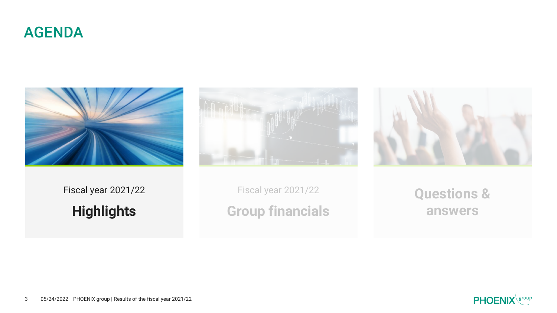







Fiscal year 2021/22 **Highlights**

Fiscal year 2021/22 **Group financials**

**Questions & answers**

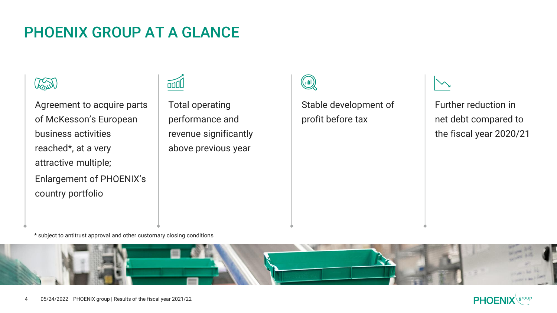#### PHOENIX GROUP AT A GLANCE



Agreement to acquire parts of McKesson's European business activities reached\*, at a very attractive multiple; Enlargement of PHOENIX's country portfolio

 $\overline{u}$ 

Total operating performance and revenue significantly above previous year



Stable development of profit before tax

Further reduction in net debt compared to the fiscal year 2020/21

**PHOEN** 

\* subject to antitrust approval and other customary closing conditions

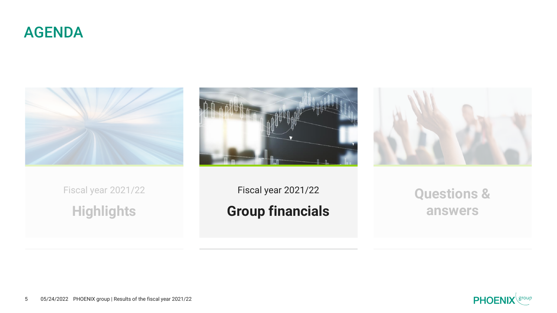







Fiscal year 2021/22 **Highlights**

Fiscal year 2021/22 **Group financials**

**Questions & answers**



5 05/24/2022 PHOENIX group | Results of the fiscal year 2021/22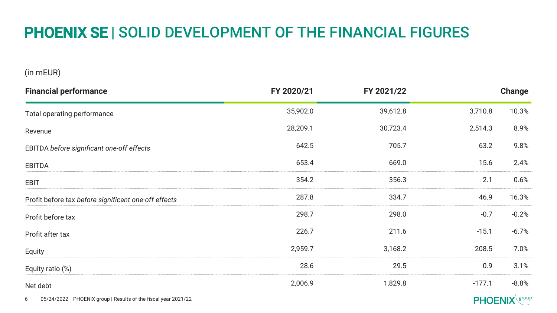### PHOENIX SE | SOLID DEVELOPMENT OF THE FINANCIAL FIGURES

(in mEUR)

| <b>Financial performance</b>                         | FY 2020/21 | FY 2021/22 |          | Change  |
|------------------------------------------------------|------------|------------|----------|---------|
| Total operating performance                          | 35,902.0   | 39,612.8   | 3,710.8  | 10.3%   |
| Revenue                                              | 28,209.1   | 30,723.4   | 2,514.3  | 8.9%    |
| EBITDA before significant one-off effects            | 642.5      | 705.7      | 63.2     | 9.8%    |
| EBITDA                                               | 653.4      | 669.0      | 15.6     | 2.4%    |
| EBIT                                                 | 354.2      | 356.3      | 2.1      | 0.6%    |
| Profit before tax before significant one-off effects | 287.8      | 334.7      | 46.9     | 16.3%   |
| Profit before tax                                    | 298.7      | 298.0      | $-0.7$   | $-0.2%$ |
| Profit after tax                                     | 226.7      | 211.6      | $-15.1$  | $-6.7%$ |
| Equity                                               | 2,959.7    | 3,168.2    | 208.5    | 7.0%    |
| Equity ratio (%)                                     | 28.6       | 29.5       | 0.9      | 3.1%    |
| Net debt                                             | 2,006.9    | 1,829.8    | $-177.1$ | $-8.8%$ |

6 05/24/2022 PHOENIX group | Results of the fiscal year 2021/22

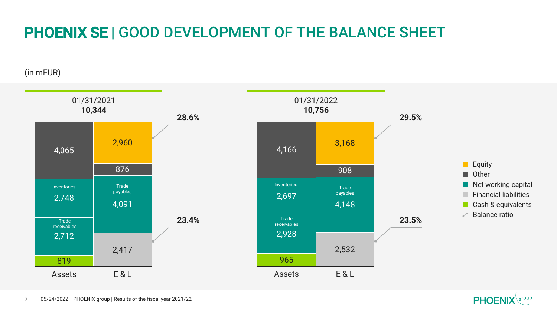## PHOENIX SE | GOOD DEVELOPMENT OF THE BALANCE SHEET

(in mEUR)



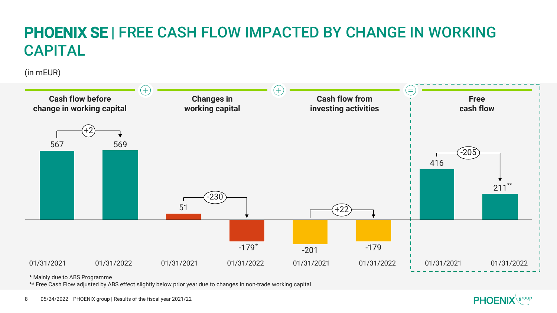# PHOENIX SE | FREE CASH FLOW IMPACTED BY CHANGE IN WORKING CAPITAL

(in mEUR)



\* Mainly due to ABS Programme

\*\* Free Cash Flow adjusted by ABS effect slightly below prior year due to changes in non-trade working capital

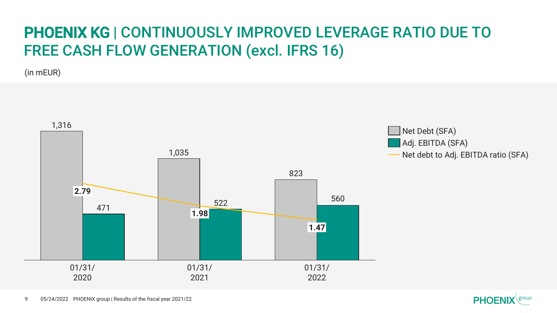### PHOENIX KG | CONTINUOUSLY IMPROVED LEVERAGE RATIO DUE TO FREE CASH FLOW GENERATION (excl. IFRS 16)

(in mEUR)





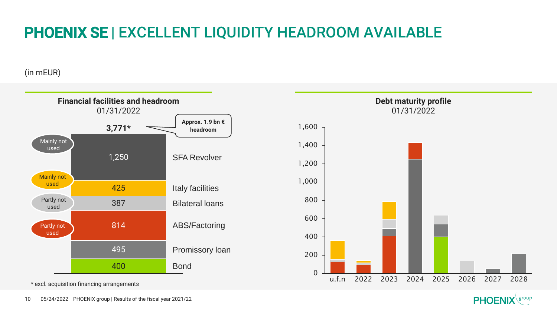## PHOENIX SE | EXCELLENT LIQUIDITY HEADROOM AVAILABLE

(in mEUR)



\* excl. acquisition financing arrangements

10 05/24/2022 PHOENIX group | Results of the fiscal year 2021/22

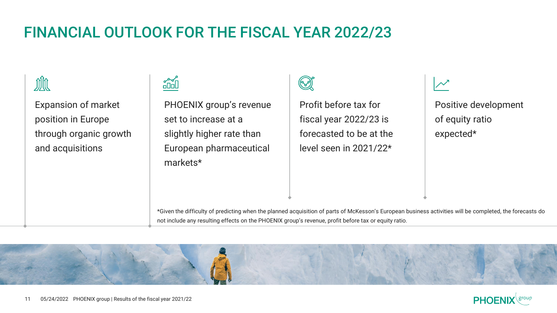### FINANCIAL OUTLOOK FOR THE FISCAL YEAR 2022/23



Expansion of market position in Europe through organic growth and acquisitions



PHOENIX group's revenue set to increase at a slightly higher rate than European pharmaceutical markets\*

Profit before tax for fiscal year 2022/23 is forecasted to be at the level seen in 2021/22\*

Positive development of equity ratio

expected\*

\*Given the difficulty of predicting when the planned acquisition of parts of McKesson's European business activities will be completed, the forecasts do not include any resulting effects on the PHOENIX group's revenue, profit before tax or equity ratio.



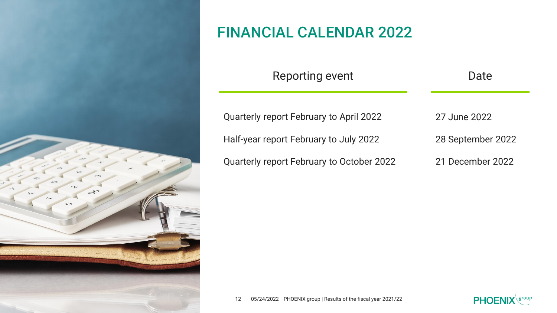

#### FINANCIAL CALENDAR 2022

| Reporting event                                | Date              |  |
|------------------------------------------------|-------------------|--|
| <b>Quarterly report February to April 2022</b> | 27 June 2022      |  |
| Half-year report February to July 2022         | 28 September 2022 |  |
| Quarterly report February to October 2022      | 21 December 2022  |  |

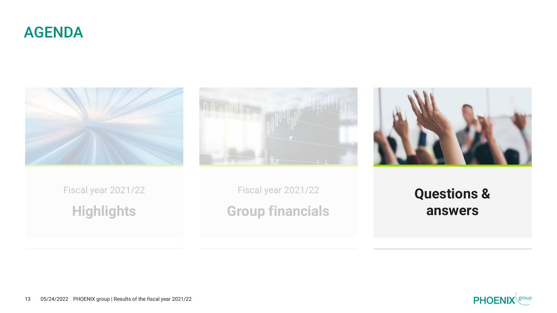







Fiscal year 2021/22 **Highlights**

Fiscal year 2021/22 **Group financials**

**Questions & answers**

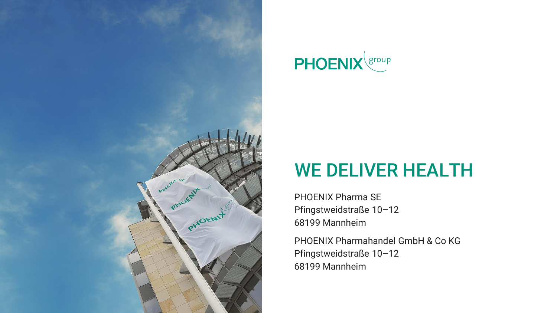



# WE DELIVER HEALTH

PHOENIX Pharma SE Pfingstweidstraße 10–12 68199 Mannheim

PHOENIX Pharmahandel GmbH & Co KG Pfingstweidstraße 10–12 68199 Mannheim